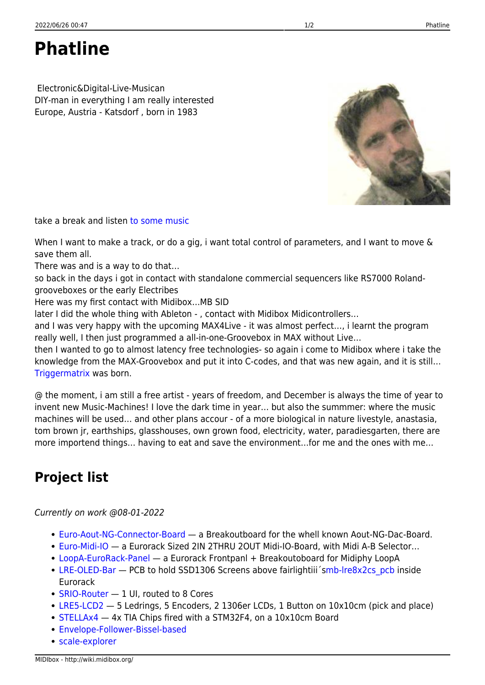**Phatline**

 Electronic&Digital-Live-Musican DIY-man in everything I am really interested Europe, Austria - Katsdorf , born in 1983

take a break and listen [to some music](https://soundcloud.com/transistsyntandsampledrum/technomiliz-holzbrueke)

When I want to make a track, or do a gig, i want total control of parameters, and I want to move & save them all.

There was and is a way to do that…

so back in the days i got in contact with standalone commercial sequencers like RS7000 Rolandgrooveboxes or the early Electribes

Here was my first contact with Midibox…MB SID

later I did the whole thing with Ableton - , contact with Midibox Midicontrollers…

and I was very happy with the upcoming MAX4Live - it was almost perfect…, i learnt the program really well, I then just programmed a all-in-one-Groovebox in MAX without Live…

then I wanted to go to almost latency free technologies- so again i come to Midibox where i take the knowledge from the MAX-Groovebox and put it into C-codes, and that was new again, and it is still… [Triggermatrix](http://wiki.midibox.org/doku.php?id=triggermatrix) was born.

@ the moment, i am still a free artist - years of freedom, and December is always the time of year to invent new Music-Machines! I love the dark time in year… but also the summmer: where the music machines will be used… and other plans accour - of a more biological in nature livestyle, anastasia, tom brown jr, earthships, glasshouses, own grown food, electricity, water, paradiesgarten, there are more importend things… having to eat and save the environment…for me and the ones with me…

## **Project list**

Currently on work @08-01-2022

- [Euro-Aout-NG-Connector-Board](http://wiki.midibox.org/doku.php?id=euro-aout-ng-connector-board)  a Breakoutboard for the whell known Aout-NG-Dac-Board.
- [Euro-Midi-IO](http://wiki.midibox.org/doku.php?id=euro-midi-io) a Eurorack Sized 2IN 2THRU 2OUT Midi-IO-Board, with Midi A-B Selector…
- [LoopA-EuroRack-Panel](http://wiki.midibox.org/doku.php?id=loopa-eurorack-panel) a Eurorack Frontpanl + Breakoutoboard for Midiphy LoopA
- [LRE-OLED-Bar](http://wiki.midibox.org/doku.php?id=lre-oled-bar) PCB to hold SSD1306 Screens above fairlightiii 'smb-lre8x2cs pcb inside Eurorack
- [SRIO-Router](http://wiki.midibox.org/doku.php?id=srio-router) 1 UI, routed to 8 Cores
- [LRE5-LCD2](http://wiki.midibox.org/doku.php?id=lre5-lcd2) 5 Ledrings, 5 Encoders, 2 1306er LCDs, 1 Button on 10x10cm (pick and place)
- [STELLAx4](http://wiki.midibox.org/doku.php?id=stellax4) 4x TIA Chips fired with a STM32F4, on a 10x10cm Board
- [Envelope-Follower-Bissel-based](http://wiki.midibox.org/doku.php?id=envelope-follower-bissel-based)
- [scale-explorer](http://wiki.midibox.org/doku.php?id=scale-explorer)